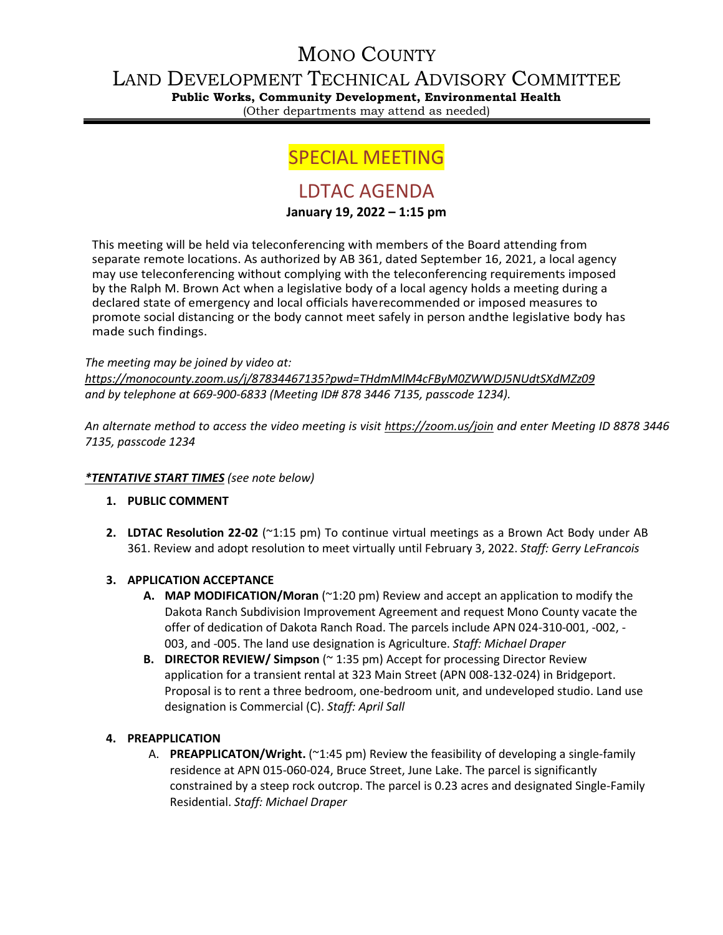# MONO COUNTY

# LAND DEVELOPMENT TECHNICAL ADVISORY COMMITTEE

**Public Works, Community Development, Environmental Health**

(Other departments may attend as needed)

# SPECIAL MEETING

## LDTAC AGENDA

## **January 19, 2022 – 1:15 pm**

This meeting will be held via teleconferencing with members of the Board attending from separate remote locations. As authorized by AB 361, dated September 16, 2021, a local agency may use teleconferencing without complying with the teleconferencing requirements imposed by the Ralph M. Brown Act when a legislative body of a local agency holds a meeting during a declared state of emergency and local officials haverecommended or imposed measures to promote social distancing or the body cannot meet safely in person andthe legislative body has made such findings.

## *The meeting may be joined by video at:*

*<https://monocounty.zoom.us/j/87834467135?pwd=THdmMlM4cFByM0ZWWDJ5NUdtSXdMZz09> and by telephone at 669-900-6833 (Meeting ID# 878 3446 7135, passcode 1234).* 

*An alternate method to access the video meeting is visit <https://zoom.us/join> and enter Meeting ID 8878 3446 7135, passcode 1234*

## *\*TENTATIVE START TIMES (see note below)*

## **1. PUBLIC COMMENT**

**2. LDTAC Resolution 22-02** (~1:15 pm) To continue virtual meetings as a Brown Act Body under AB 361. Review and adopt resolution to meet virtually until February 3, 2022. *Staff: Gerry LeFrancois*

## **3. APPLICATION ACCEPTANCE**

- **A. MAP MODIFICATION/Moran** (~1:20 pm) Review and accept an application to modify the Dakota Ranch Subdivision Improvement Agreement and request Mono County vacate the offer of dedication of Dakota Ranch Road. The parcels include APN 024-310-001, -002, - 003, and -005. The land use designation is Agriculture. *Staff: Michael Draper*
- **B. DIRECTOR REVIEW/ Simpson** (~ 1:35 pm) Accept for processing Director Review application for a transient rental at 323 Main Street (APN 008-132-024) in Bridgeport. Proposal is to rent a three bedroom, one-bedroom unit, and undeveloped studio. Land use designation is Commercial (C). *Staff: April Sall*

## **4. PREAPPLICATION**

A. **PREAPPLICATON/Wright.** (~1:45 pm) Review the feasibility of developing a single-family residence at APN 015-060-024, Bruce Street, June Lake. The parcel is significantly constrained by a steep rock outcrop. The parcel is 0.23 acres and designated Single-Family Residential. *Staff: Michael Draper*